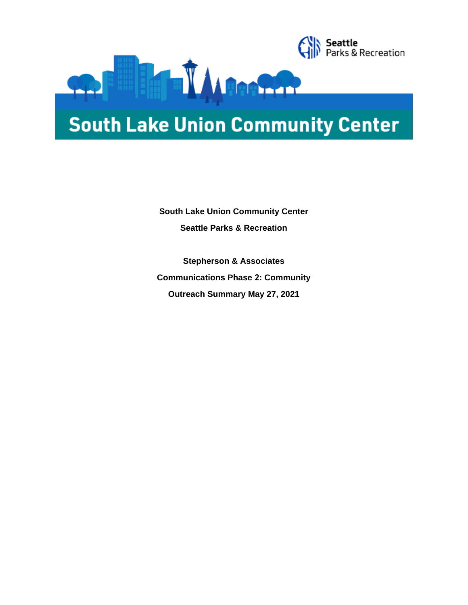

# **South Lake Union Community Center**

**South Lake Union Community Center Seattle Parks & Recreation**

**Stepherson & Associates Communications Phase 2: Community Outreach Summary May 27, 2021**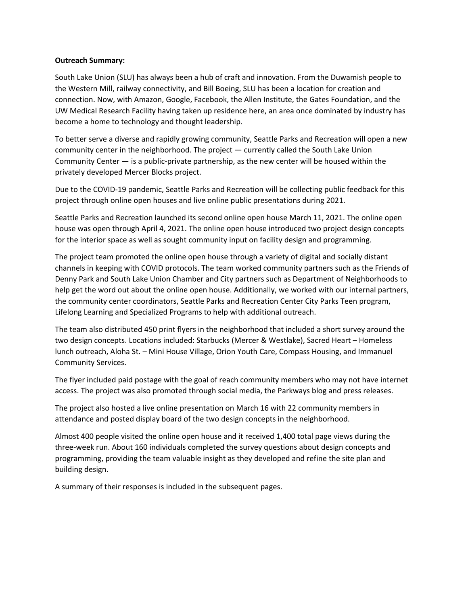#### **Outreach Summary:**

South Lake Union (SLU) has always been a hub of craft and innovation. From the Duwamish people to the Western Mill, railway connectivity, and Bill Boeing, SLU has been a location for creation and connection. Now, with Amazon, Google, Facebook, the Allen Institute, the Gates Foundation, and the UW Medical Research Facility having taken up residence here, an area once dominated by industry has become a home to technology and thought leadership.

To better serve a diverse and rapidly growing community, Seattle Parks and Recreation will open a new community center in the neighborhood. The project — currently called the South Lake Union Community Center — is a public-private partnership, as the new center will be housed within the privately developed Mercer Blocks project.

Due to the COVID-19 pandemic, Seattle Parks and Recreation will be collecting public feedback for this project through online open houses and live online public presentations during 2021.

Seattle Parks and Recreation launched its second online open house March 11, 2021. The online open house was open through April 4, 2021. The online open house introduced two project design concepts for the interior space as well as sought community input on facility design and programming.

The project team promoted the online open house through a variety of digital and socially distant channels in keeping with COVID protocols. The team worked community partners such as the Friends of Denny Park and South Lake Union Chamber and City partners such as Department of Neighborhoods to help get the word out about the online open house. Additionally, we worked with our internal partners, the community center coordinators, Seattle Parks and Recreation Center City Parks Teen program, Lifelong Learning and Specialized Programs to help with additional outreach.

The team also distributed 450 print flyers in the neighborhood that included a short survey around the two design concepts. Locations included: Starbucks (Mercer & Westlake), Sacred Heart – Homeless lunch outreach, Aloha St. – Mini House Village, Orion Youth Care, Compass Housing, and Immanuel Community Services.

The flyer included paid postage with the goal of reach community members who may not have internet access. The project was also promoted through social media, the Parkways blog and press releases.

The project also hosted a live online presentation on March 16 with 22 community members in attendance and posted display board of the two design concepts in the neighborhood.

Almost 400 people visited the online open house and it received 1,400 total page views during the three-week run. About 160 individuals completed the survey questions about design concepts and programming, providing the team valuable insight as they developed and refine the site plan and building design.

A summary of their responses is included in the subsequent pages.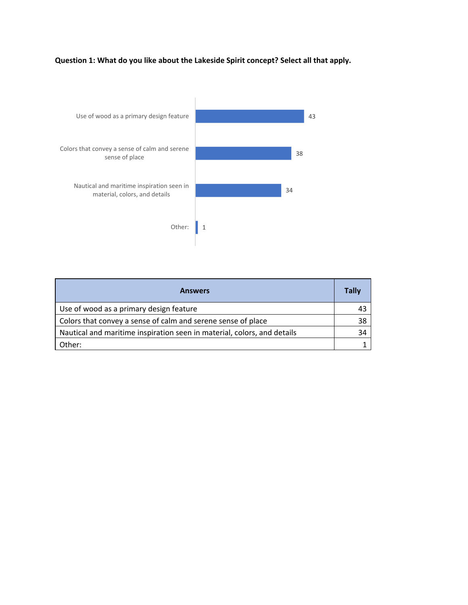# **Question 1: What do you like about the Lakeside Spirit concept? Select all that apply.**



| <b>Answers</b>                                                          | <b>Tally</b> |
|-------------------------------------------------------------------------|--------------|
| Use of wood as a primary design feature                                 | 43           |
| Colors that convey a sense of calm and serene sense of place            | 38           |
| Nautical and maritime inspiration seen in material, colors, and details | 34           |
| Other:                                                                  |              |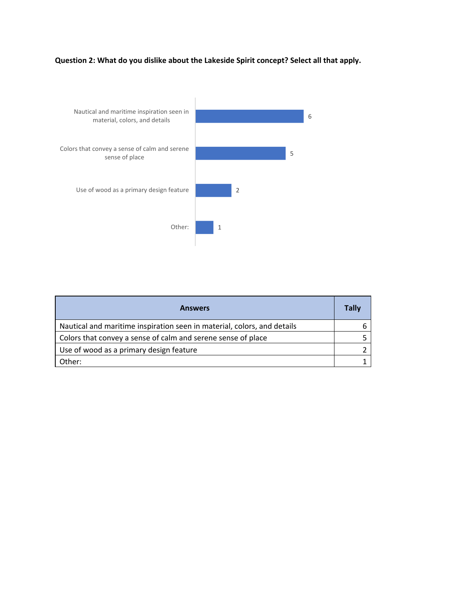# **Question 2: What do you dislike about the Lakeside Spirit concept? Select all that apply.**



| <b>Answers</b>                                                          | <b>Tally</b> |
|-------------------------------------------------------------------------|--------------|
| Nautical and maritime inspiration seen in material, colors, and details |              |
| Colors that convey a sense of calm and serene sense of place            |              |
| Use of wood as a primary design feature                                 |              |
| Other:                                                                  |              |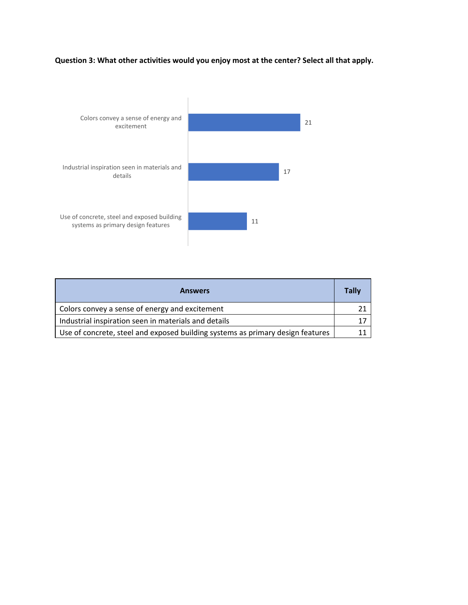## **Question 3: What other activities would you enjoy most at the center? Select all that apply.**



| <b>Answers</b>                                                                 | <b>Tally</b> |
|--------------------------------------------------------------------------------|--------------|
| Colors convey a sense of energy and excitement                                 |              |
| Industrial inspiration seen in materials and details                           | 17           |
| Use of concrete, steel and exposed building systems as primary design features |              |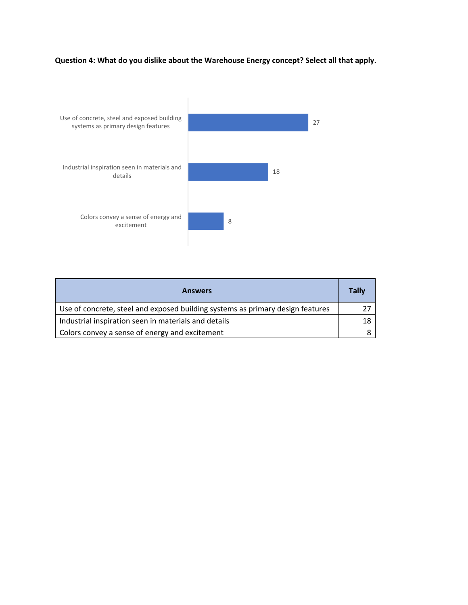## **Question 4: What do you dislike about the Warehouse Energy concept? Select all that apply.**



| <b>Answers</b>                                                                 | <b>Tally</b> |
|--------------------------------------------------------------------------------|--------------|
| Use of concrete, steel and exposed building systems as primary design features |              |
| Industrial inspiration seen in materials and details                           | 18           |
| Colors convey a sense of energy and excitement                                 |              |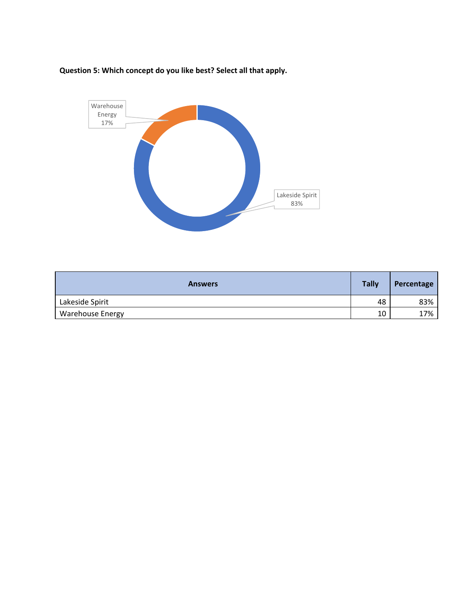**Question 5: Which concept do you like best? Select all that apply.**



| <b>Answers</b>          | <b>Tally</b> | Percentage |
|-------------------------|--------------|------------|
| Lakeside Spirit         | 48           | 83%        |
| <b>Warehouse Energy</b> | 10           | 17%        |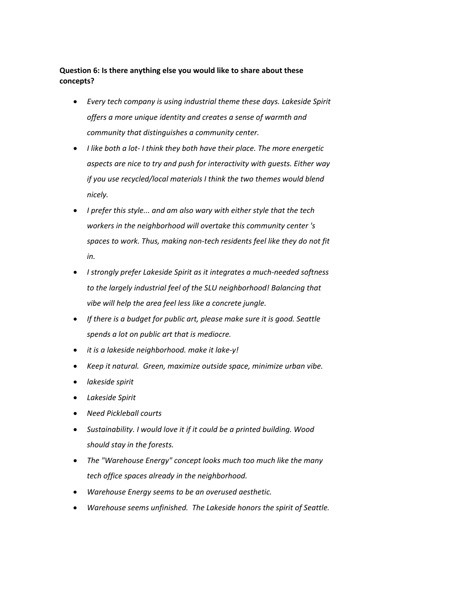#### **Question 6: Is there anything else you would like to share about these concepts?**

- *Every tech company is using industrial theme these days. Lakeside Spirit offers a more unique identity and creates a sense of warmth and community that distinguishes a community center.*
- *I like both a lot- I think they both have their place. The more energetic aspects are nice to try and push for interactivity with guests. Either way if you use recycled/local materials I think the two themes would blend nicely.*
- *I prefer this style... and am also wary with either style that the tech workers in the neighborhood will overtake this community center 's spaces to work. Thus, making non-tech residents feel like they do not fit in.*
- *I strongly prefer Lakeside Spirit as it integrates a much-needed softness to the largely industrial feel of the SLU neighborhood! Balancing that vibe will help the area feel less like a concrete jungle.*
- *If there is a budget for public art, please make sure it is good. Seattle spends a lot on public art that is mediocre.*
- *it is a lakeside neighborhood. make it lake-y!*
- *Keep it natural. Green, maximize outside space, minimize urban vibe.*
- *lakeside spirit*
- *Lakeside Spirit*
- *Need Pickleball courts*
- *Sustainability. I would love it if it could be a printed building. Wood should stay in the forests.*
- *The "Warehouse Energy" concept looks much too much like the many tech office spaces already in the neighborhood.*
- *Warehouse Energy seems to be an overused aesthetic.*
- *Warehouse seems unfinished. The Lakeside honors the spirit of Seattle.*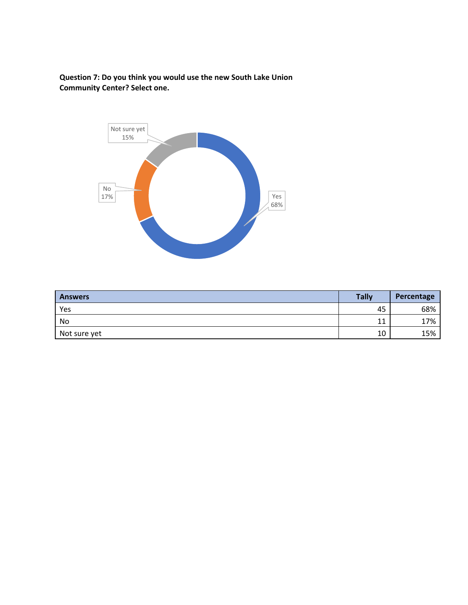**Question 7: Do you think you would use the new South Lake Union Community Center? Select one.** 



| <b>Answers</b> | <b>Tally</b> | Percentage |
|----------------|--------------|------------|
| Yes            | 45           | 68%        |
| No             | 11           | 17%        |
| Not sure yet   | 10           | 15%        |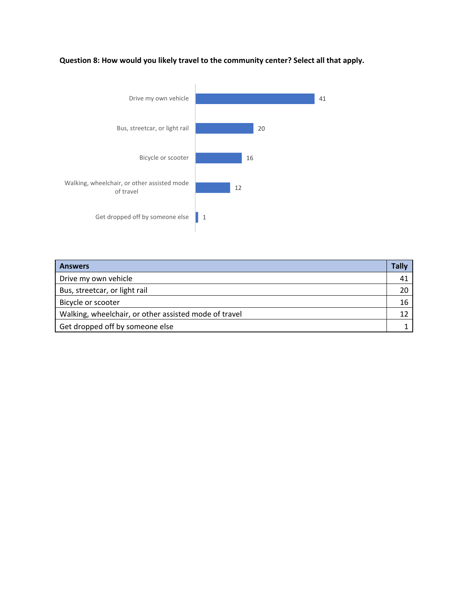## **Question 8: How would you likely travel to the community center? Select all that apply.**



| <b>Answers</b>                                        | Tally |
|-------------------------------------------------------|-------|
| Drive my own vehicle                                  | 41    |
| Bus, streetcar, or light rail                         | 20    |
| Bicycle or scooter                                    | 16    |
| Walking, wheelchair, or other assisted mode of travel |       |
| Get dropped off by someone else                       |       |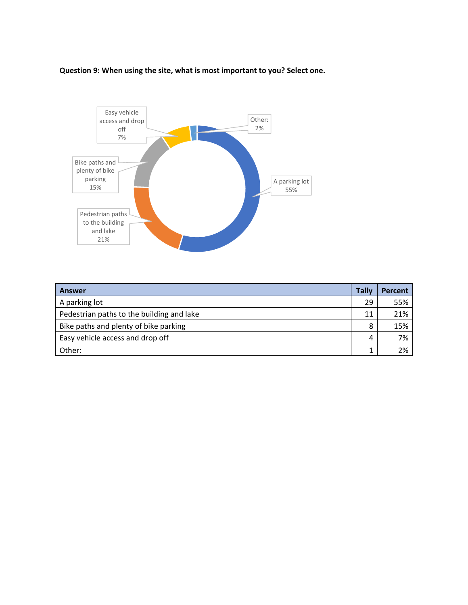#### **Question 9: When using the site, what is most important to you? Select one.**



| <b>Answer</b>                             | Tally | <b>Percent</b> |
|-------------------------------------------|-------|----------------|
| A parking lot                             | 29    | 55%            |
| Pedestrian paths to the building and lake | 11    | 21%            |
| Bike paths and plenty of bike parking     | 8     | 15%            |
| Easy vehicle access and drop off          | 4     | 7%             |
| Other:                                    |       | 2%             |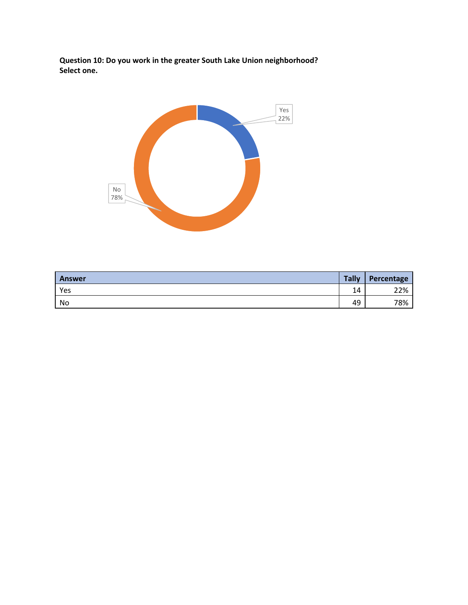**Question 10: Do you work in the greater South Lake Union neighborhood? Select one.**



| <b>Answer</b> | <b>Tally</b> | Percentage |
|---------------|--------------|------------|
| Yes           | 14           | 22%        |
| No            | 49           | 78%        |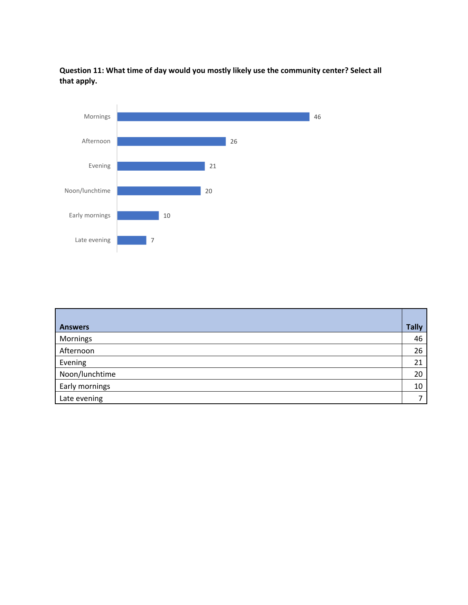**Question 11: What time of day would you mostly likely use the community center? Select all that apply.**



| <b>Answers</b> | <b>Tally</b> |
|----------------|--------------|
| Mornings       | 46           |
| Afternoon      | 26           |
| Evening        | 21           |
| Noon/lunchtime | 20           |
| Early mornings | 10           |
| Late evening   |              |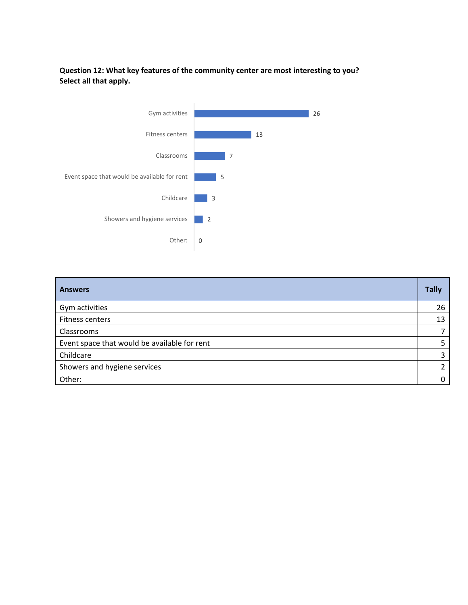### **Question 12: What key features of the community center are most interesting to you? Select all that apply.**



| <b>Answers</b>                               | <b>Tally</b> |
|----------------------------------------------|--------------|
| Gym activities                               | 26           |
| Fitness centers                              | 13           |
| Classrooms                                   |              |
| Event space that would be available for rent |              |
| Childcare                                    | 3            |
| Showers and hygiene services                 |              |
| Other:                                       |              |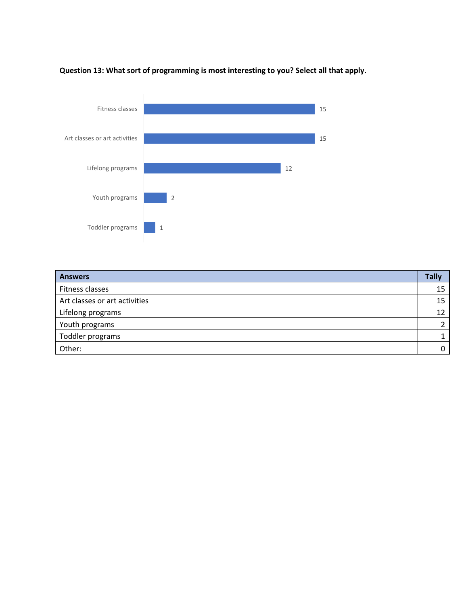

# **Question 13: What sort of programming is most interesting to you? Select all that apply.**

| <b>Answers</b>                | <b>Tally</b> |
|-------------------------------|--------------|
| Fitness classes               | 15           |
| Art classes or art activities | 15           |
| Lifelong programs             | 12           |
| Youth programs                |              |
| Toddler programs              |              |
| Other:                        |              |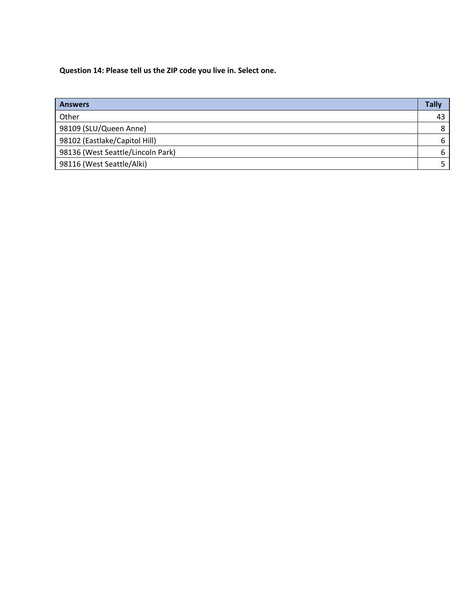**Question 14: Please tell us the ZIP code you live in. Select one.**

| <b>Answers</b>                    | Tally |
|-----------------------------------|-------|
| Other                             | 43    |
| 98109 (SLU/Queen Anne)            | 8     |
| 98102 (Eastlake/Capitol Hill)     | 6     |
| 98136 (West Seattle/Lincoln Park) | 6     |
| 98116 (West Seattle/Alki)         |       |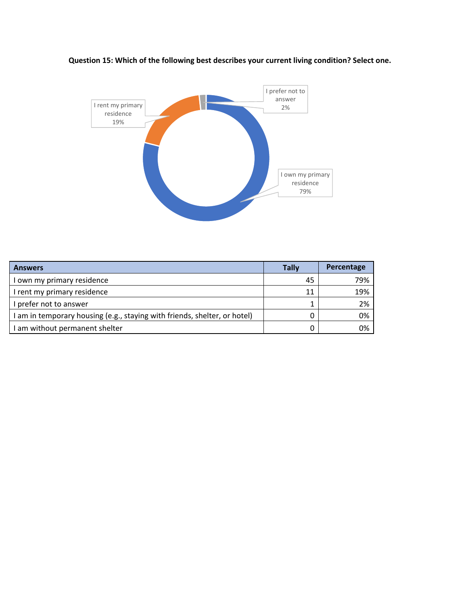



| <b>Answers</b>                                                            | <b>Tally</b> | Percentage |
|---------------------------------------------------------------------------|--------------|------------|
| I own my primary residence                                                | 45           | 79%        |
| I rent my primary residence                                               | 11           | 19%        |
| I prefer not to answer                                                    |              | 2%         |
| I am in temporary housing (e.g., staying with friends, shelter, or hotel) |              | 0%         |
| I am without permanent shelter                                            |              | 0%         |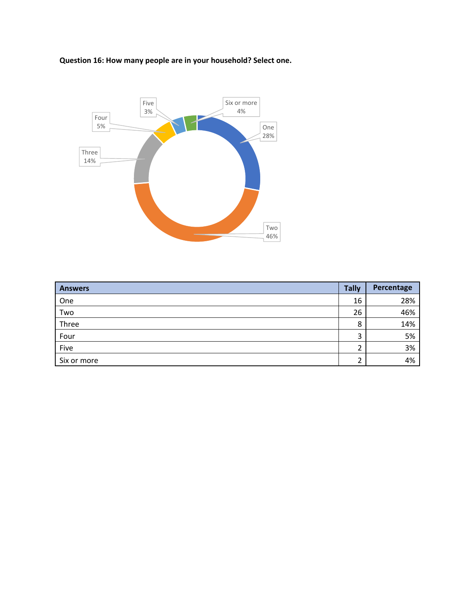# **Question 16: How many people are in your household? Select one.**



| <b>Answers</b> | <b>Tally</b> | Percentage |
|----------------|--------------|------------|
| One            | 16           | 28%        |
| Two            | 26           | 46%        |
| Three          | 8            | 14%        |
| Four           | 3            | 5%         |
| Five           | ◠<br>∠       | 3%         |
| Six or more    | ົ            | 4%         |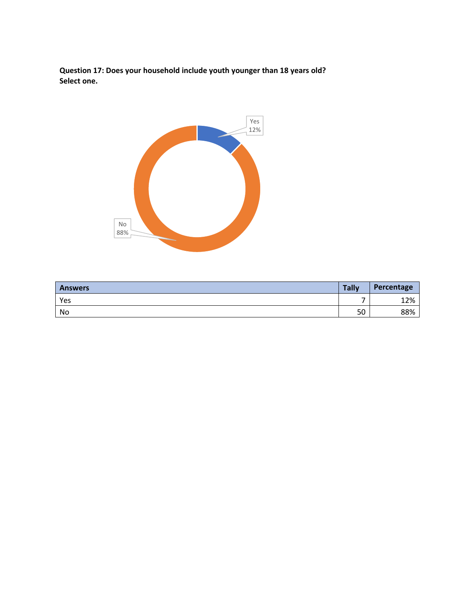**Question 17: Does your household include youth younger than 18 years old? Select one.**



| <b>Answers</b> | <b>Tally</b> | Percentage |
|----------------|--------------|------------|
| Yes            | -            | 12%        |
| No             | 50           | 88%        |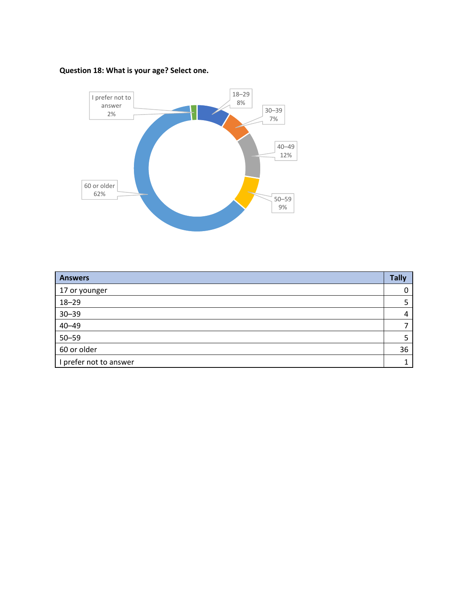# **Question 18: What is your age? Select one.**



| <b>Answers</b>         | <b>Tally</b> |
|------------------------|--------------|
| 17 or younger          | 0            |
| $18 - 29$              |              |
| $30 - 39$              | 4            |
| $40 - 49$              | ⇁            |
| $50 - 59$              | 5            |
| 60 or older            | 36           |
| I prefer not to answer |              |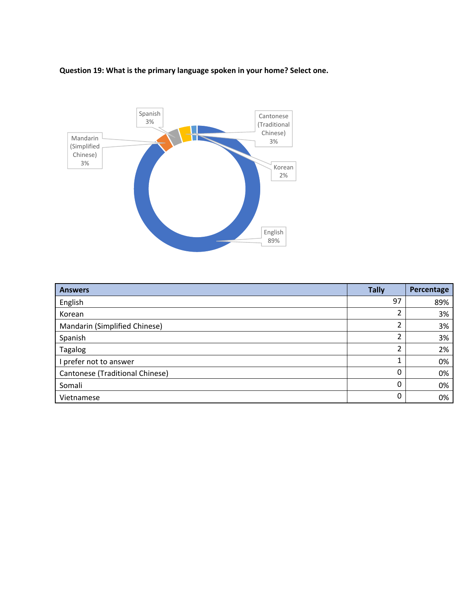# **Question 19: What is the primary language spoken in your home? Select one.**



| <b>Answers</b>                  | <b>Tally</b> | Percentage |
|---------------------------------|--------------|------------|
| English                         | 97           | 89%        |
| Korean                          | ำ<br>∠       | 3%         |
| Mandarin (Simplified Chinese)   | ำ            | 3%         |
| Spanish                         | ำ<br>∠       | 3%         |
| <b>Tagalog</b>                  | ำ            | 2%         |
| I prefer not to answer          |              | 0%         |
| Cantonese (Traditional Chinese) | 0            | 0%         |
| Somali                          | 0            | 0%         |
| Vietnamese                      | 0            | 0%         |